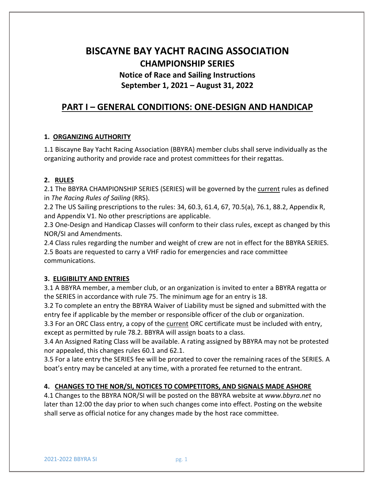# **BISCAYNE BAY YACHT RACING ASSOCIATION CHAMPIONSHIP SERIES Notice of Race and Sailing Instructions**

## **September 1, 2021 – August 31, 2022**

## **PART I – GENERAL CONDITIONS: ONE-DESIGN AND HANDICAP**

## **1. ORGANIZING AUTHORITY**

1.1 Biscayne Bay Yacht Racing Association (BBYRA) member clubs shall serve individually as the organizing authority and provide race and protest committees for their regattas.

## **2. RULES**

2.1 The BBYRA CHAMPIONSHIP SERIES (SERIES) will be governed by the current rules as defined in *The Racing Rules of Sailing* (RRS).

2.2 The US Sailing prescriptions to the rules: 34, 60.3, 61.4, 67, 70.5(a), 76.1, 88.2, Appendix R, and Appendix V1. No other prescriptions are applicable.

2.3 One-Design and Handicap Classes will conform to their class rules, except as changed by this NOR/SI and Amendments.

2.4 Class rules regarding the number and weight of crew are not in effect for the BBYRA SERIES. 2.5 Boats are requested to carry a VHF radio for emergencies and race committee communications.

## **3. ELIGIBILITY AND ENTRIES**

3.1 A BBYRA member, a member club, or an organization is invited to enter a BBYRA regatta or the SERIES in accordance with rule 75. The minimum age for an entry is 18.

 3.2 To complete an entry the BBYRA Waiver of Liability must be signed and submitted with the entry fee if applicable by the member or responsible officer of the club or organization.

 3.3 For an ORC Class entry, a copy of the current ORC certificate must be included with entry, except as permitted by rule 78.2. BBYRA will assign boats to a class.

 3.4 An Assigned Rating Class will be available. A rating assigned by BBYRA may not be protested nor appealed, this changes rules 60.1 and 62.1.

 3.5 For a late entry the SERIES fee will be prorated to cover the remaining races of the SERIES. A boat's entry may be canceled at any time, with a prorated fee returned to the entrant.

## **4. CHANGES TO THE NOR/SI, NOTICES TO COMPETITORS, AND SIGNALS MADE ASHORE**

4.1 Changes to the BBYRA NOR/SI will be posted on the BBYRA website at *www.bbyra.net* no later than 12:00 the day prior to when such changes come into effect. Posting on the website shall serve as official notice for any changes made by the host race committee.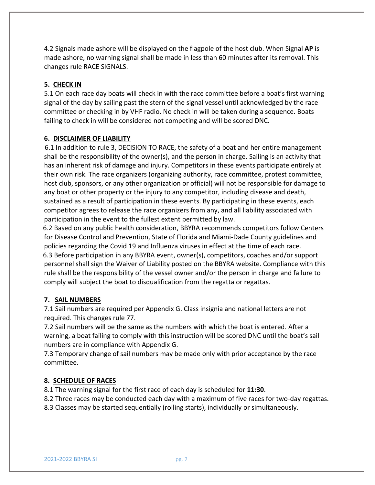4.2 Signals made ashore will be displayed on the flagpole of the host club. When Signal **AP** is made ashore, no warning signal shall be made in less than 60 minutes after its removal. This changes rule RACE SIGNALS.

## **5. CHECK IN**

5.1 On each race day boats will check in with the race committee before a boat's first warning signal of the day by sailing past the stern of the signal vessel until acknowledged by the race committee or checking in by VHF radio. No check in will be taken during a sequence. Boats failing to check in will be considered not competing and will be scored DNC.

## **6. DISCLAIMER OF LIABILITY**

 6.1 In addition to rule 3, DECISION TO RACE, the safety of a boat and her entire management shall be the responsibility of the owner(s), and the person in charge. Sailing is an activity that has an inherent risk of damage and injury. Competitors in these events participate entirely at their own risk. The race organizers (organizing authority, race committee, protest committee, host club, sponsors, or any other organization or official) will not be responsible for damage to any boat or other property or the injury to any competitor, including disease and death, sustained as a result of participation in these events. By participating in these events, each competitor agrees to release the race organizers from any, and all liability associated with participation in the event to the fullest extent permitted by law.

 6.2 Based on any public health consideration, BBYRA recommends competitors follow Centers for Disease Control and Prevention, State of Florida and Miami-Dade County guidelines and policies regarding the Covid 19 and Influenza viruses in effect at the time of each race. 6.3 Before participation in any BBYRA event, owner(s), competitors, coaches and/or support personnel shall sign the Waiver of Liability posted on the BBYRA website. Compliance with this rule shall be the responsibility of the vessel owner and/or the person in charge and failure to comply will subject the boat to disqualification from the regatta or regattas.

## **7. SAIL NUMBERS**

7.1 Sail numbers are required per Appendix G. Class insignia and national letters are not required. This changes rule 77.

7.2 Sail numbers will be the same as the numbers with which the boat is entered. After a warning, a boat failing to comply with this instruction will be scored DNC until the boat's sail numbers are in compliance with Appendix G.

7.3 Temporary change of sail numbers may be made only with prior acceptance by the race committee.

## **8. SCHEDULE OF RACES**

8.1 The warning signal for the first race of each day is scheduled for **11:30**.

8.2 Three races may be conducted each day with a maximum of five races for two-day regattas.

8.3 Classes may be started sequentially (rolling starts), individually or simultaneously.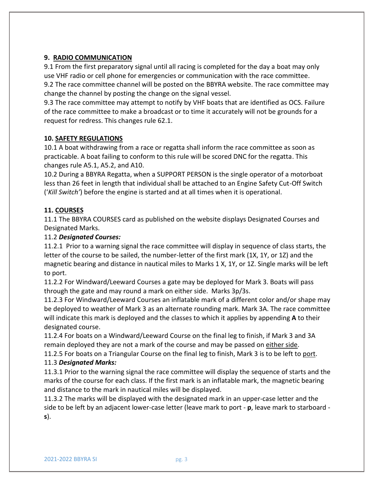## **9. RADIO COMMUNICATION**

9.1 From the first preparatory signal until all racing is completed for the day a boat may only use VHF radio or cell phone for emergencies or communication with the race committee. 9.2 The race committee channel will be posted on the BBYRA website. The race committee may change the channel by posting the change on the signal vessel.

9.3 The race committee may attempt to notify by VHF boats that are identified as OCS. Failure of the race committee to make a broadcast or to time it accurately will not be grounds for a request for redress. This changes rule 62.1.

## **10. SAFETY REGULATIONS**

10.1 A boat withdrawing from a race or regatta shall inform the race committee as soon as practicable. A boat failing to conform to this rule will be scored DNC for the regatta. This changes rule A5.1, A5.2, and A10.

10.2 During a BBYRA Regatta, when a SUPPORT PERSON is the single operator of a motorboat less than 26 feet in length that individual shall be attached to an Engine Safety Cut-Off Switch ('*Kill Switch'*) before the engine is started and at all times when it is operational.

## **11. COURSES**

11.1 The BBYRA COURSES card as published on the website displays Designated Courses and Designated Marks.

## 11.2 *Designated Courses:*

11.2.1 Prior to a warning signal the race committee will display in sequence of class starts, the letter of the course to be sailed, the number-letter of the first mark (1X, 1Y, or 1Z) and the magnetic bearing and distance in nautical miles to Marks 1 X, 1Y, or 1Z. Single marks will be left to port.

11.2.2 For Windward/Leeward Courses a gate may be deployed for Mark 3. Boats will pass through the gate and may round a mark on either side. Marks 3p/3s.

11.2.3 For Windward/Leeward Courses an inflatable mark of a different color and/or shape may be deployed to weather of Mark 3 as an alternate rounding mark. Mark 3A. The race committee will indicate this mark is deployed and the classes to which it applies by appending **A** to their designated course.

11.2.4 For boats on a Windward/Leeward Course on the final leg to finish, if Mark 3 and 3A remain deployed they are not a mark of the course and may be passed on either side.

11.2.5 For boats on a Triangular Course on the final leg to finish, Mark 3 is to be left to port. 11.3 *Designated Marks:*

11.3.1 Prior to the warning signal the race committee will display the sequence of starts and the marks of the course for each class. If the first mark is an inflatable mark, the magnetic bearing and distance to the mark in nautical miles will be displayed.

11.3.2 The marks will be displayed with the designated mark in an upper-case letter and the side to be left by an adjacent lower-case letter (leave mark to port - **p**, leave mark to starboard **s**).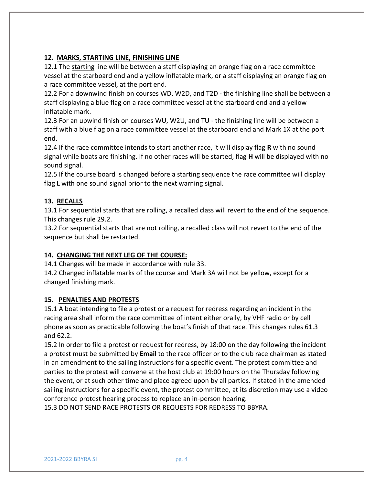## **12. MARKS, STARTING LINE, FINISHING LINE**

12.1 The starting line will be between a staff displaying an orange flag on a race committee vessel at the starboard end and a yellow inflatable mark, or a staff displaying an orange flag on a race committee vessel, at the port end.

12.2 For a downwind finish on courses WD, W2D, and T2D - the finishing line shall be between a staff displaying a blue flag on a race committee vessel at the starboard end and a yellow inflatable mark.

12.3 For an upwind finish on courses WU, W2U, and TU - the finishing line will be between a staff with a blue flag on a race committee vessel at the starboard end and Mark 1X at the port end.

12.4 If the race committee intends to start another race, it will display flag **R** with no sound signal while boats are finishing. If no other races will be started, flag **H** will be displayed with no sound signal.

12.5 If the course board is changed before a starting sequence the race committee will display flag **L** with one sound signal prior to the next warning signal.

## **13. RECALLS**

13.1 For sequential starts that are rolling, a recalled class will revert to the end of the sequence. This changes rule 29.2.

13.2 For sequential starts that are not rolling, a recalled class will not revert to the end of the sequence but shall be restarted.

## **14. CHANGING THE NEXT LEG OF THE COURSE:**

14.1 Changes will be made in accordance with rule 33.

14.2 Changed inflatable marks of the course and Mark 3A will not be yellow, except for a changed finishing mark.

## **15. PENALTIES AND PROTESTS**

15.1 A boat intending to file a protest or a request for redress regarding an incident in the racing area shall inform the race committee of intent either orally, by VHF radio or by cell phone as soon as practicable following the boat's finish of that race. This changes rules 61.3 and 62.2.

15.2 In order to file a protest or request for redress, by 18:00 on the day following the incident a protest must be submitted by **Email** to the race officer or to the club race chairman as stated in an amendment to the sailing instructions for a specific event. The protest committee and parties to the protest will convene at the host club at 19:00 hours on the Thursday following the event, or at such other time and place agreed upon by all parties. If stated in the amended sailing instructions for a specific event, the protest committee, at its discretion may use a video conference protest hearing process to replace an in-person hearing.

15.3 DO NOT SEND RACE PROTESTS OR REQUESTS FOR REDRESS TO BBYRA.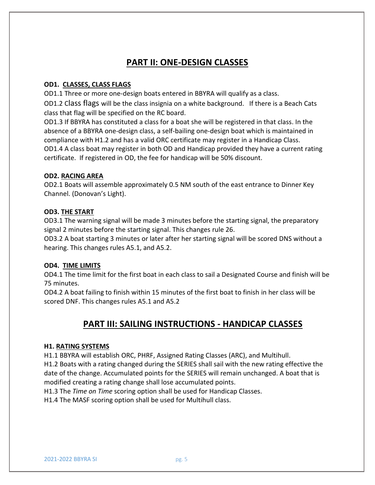## **PART II: ONE-DESIGN CLASSES**

## **OD1. CLASSES, CLASS FLAGS**

OD1.1 Three or more one-design boats entered in BBYRA will qualify as a class.

OD1.2 Class flags will be the class insignia on a white background. If there is a Beach Cats class that flag will be specified on the RC board.

OD1.3 If BBYRA has constituted a class for a boat she will be registered in that class. In the absence of a BBYRA one-design class, a self-bailing one-design boat which is maintained in compliance with H1.2 and has a valid ORC certificate may register in a Handicap Class. OD1.4 A class boat may register in both OD and Handicap provided they have a current rating certificate. If registered in OD, the fee for handicap will be 50% discount.

## **OD2. RACING AREA**

OD2.1 Boats will assemble approximately 0.5 NM south of the east entrance to Dinner Key Channel. (Donovan's Light).

## **OD3. THE START**

OD3.1 The warning signal will be made 3 minutes before the starting signal, the preparatory signal 2 minutes before the starting signal. This changes rule 26.

OD3.2 A boat starting 3 minutes or later after her starting signal will be scored DNS without a hearing. This changes rules A5.1, and A5.2.

## **OD4. TIME LIMITS**

OD4.1 The time limit for the first boat in each class to sail a Designated Course and finish will be 75 minutes.

OD4.2 A boat failing to finish within 15 minutes of the first boat to finish in her class will be scored DNF. This changes rules A5.1 and A5.2

## **PART III: SAILING INSTRUCTIONS - HANDICAP CLASSES**

## **H1. RATING SYSTEMS**

H1.1 BBYRA will establish ORC, PHRF, Assigned Rating Classes (ARC), and Multihull.

H1.2 Boats with a rating changed during the SERIES shall sail with the new rating effective the date of the change. Accumulated points for the SERIES will remain unchanged. A boat that is modified creating a rating change shall lose accumulated points.

H1.3 The *Time on Time* scoring option shall be used for Handicap Classes.

H1.4 The MASF scoring option shall be used for Multihull class.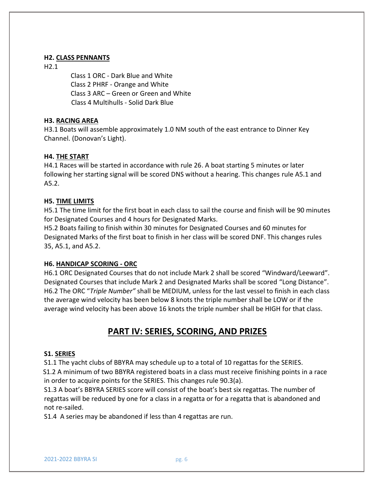#### **H2. CLASS PENNANTS**

H2.1

 Class 1 ORC - Dark Blue and White Class 2 PHRF - Orange and White Class 3 ARC – Green or Green and White Class 4 Multihulls - Solid Dark Blue

#### **H3. RACING AREA**

H3.1 Boats will assemble approximately 1.0 NM south of the east entrance to Dinner Key Channel. (Donovan's Light).

#### **H4. THE START**

H4.1 Races will be started in accordance with rule 26. A boat starting 5 minutes or later following her starting signal will be scored DNS without a hearing. This changes rule A5.1 and A5.2.

#### **H5. TIME LIMITS**

H5.1 The time limit for the first boat in each class to sail the course and finish will be 90 minutes for Designated Courses and 4 hours for Designated Marks.

H5.2 Boats failing to finish within 30 minutes for Designated Courses and 60 minutes for Designated Marks of the first boat to finish in her class will be scored DNF. This changes rules 35, A5.1, and A5.2.

## **H6. HANDICAP SCORING - ORC**

H6.1 ORC Designated Courses that do not include Mark 2 shall be scored "Windward/Leeward". Designated Courses that include Mark 2 and Designated Marks shall be scored "Long Distance". H6.2 The ORC "*Triple Number"* shall be MEDIUM, unless for the last vessel to finish in each class the average wind velocity has been below 8 knots the triple number shall be LOW or if the average wind velocity has been above 16 knots the triple number shall be HIGH for that class.

## **PART IV: SERIES, SCORING, AND PRIZES**

#### **S1. SERIES**

S1.1 The yacht clubs of BBYRA may schedule up to a total of 10 regattas for the SERIES. S1.2 A minimum of two BBYRA registered boats in a class must receive finishing points in a race in order to acquire points for the SERIES. This changes rule 90.3(a).

S1.3 A boat's BBYRA SERIES score will consist of the boat's best six regattas. The number of regattas will be reduced by one for a class in a regatta or for a regatta that is abandoned and not re-sailed.

S1.4 A series may be abandoned if less than 4 regattas are run.